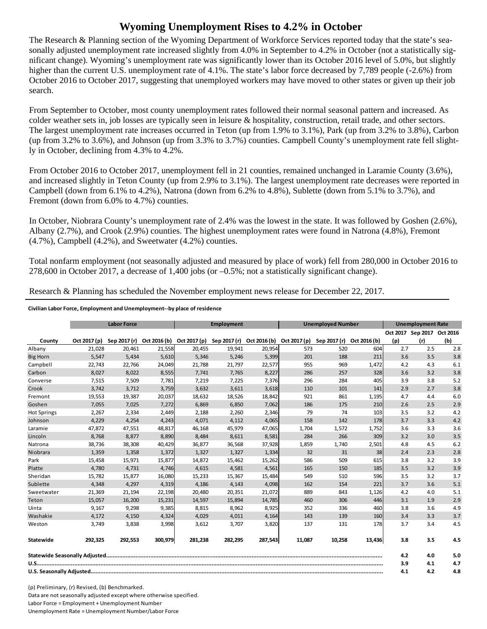## **Wyoming Unemployment Rises to 4.2% in October**

The Research & Planning section of the Wyoming Department of Workforce Services reported today that the state's seasonally adjusted unemployment rate increased slightly from 4.0% in September to 4.2% in October (not a statistically significant change). Wyoming's unemployment rate was significantly lower than its October 2016 level of 5.0%, but slightly higher than the current U.S. unemployment rate of 4.1%. The state's labor force decreased by 7,789 people (-2.6%) from October 2016 to October 2017, suggesting that unemployed workers may have moved to other states or given up their job search.

From September to October, most county unemployment rates followed their normal seasonal pattern and increased. As colder weather sets in, job losses are typically seen in leisure & hospitality, construction, retail trade, and other sectors. The largest unemployment rate increases occurred in Teton (up from 1.9% to 3.1%), Park (up from 3.2% to 3.8%), Carbon (up from 3.2% to 3.6%), and Johnson (up from 3.3% to 3.7%) counties. Campbell County's unemployment rate fell slightly in October, declining from 4.3% to 4.2%.

From October 2016 to October 2017, unemployment fell in 21 counties, remained unchanged in Laramie County (3.6%), and increased slightly in Teton County (up from 2.9% to 3.1%). The largest unemployment rate decreases were reported in Campbell (down from 6.1% to 4.2%), Natrona (down from 6.2% to 4.8%), Sublette (down from 5.1% to 3.7%), and Fremont (down from 6.0% to 4.7%) counties.

In October, Niobrara County's unemployment rate of 2.4% was the lowest in the state. It was followed by Goshen (2.6%), Albany (2.7%), and Crook (2.9%) counties. The highest unemployment rates were found in Natrona (4.8%), Fremont  $(4.7\%)$ , Campbell  $(4.2\%)$ , and Sweetwater  $(4.2\%)$  counties.

Total nonfarm employment (not seasonally adjusted and measured by place of work) fell from 280,000 in October 2016 to 278,600 in October 2017, a decrease of 1,400 jobs (or –0.5%; not a statistically significant change).

Research & Planning has scheduled the November employment news release for December 22, 2017.

## **Civilian Labor Force, Employment and Unemployment‐‐by place of residence**

|                    |              | <b>Labor Force</b><br><b>Unemployed Number</b><br><b>Employment</b> |              |              | <b>Unemployment Rate</b> |              |              |              |              |     |                            |     |
|--------------------|--------------|---------------------------------------------------------------------|--------------|--------------|--------------------------|--------------|--------------|--------------|--------------|-----|----------------------------|-----|
|                    |              |                                                                     |              |              |                          |              |              |              |              |     | Oct 2017 Sep 2017 Oct 2016 |     |
| County             | Oct 2017 (p) | Sep 2017 (r)                                                        | Oct 2016 (b) | Oct 2017 (p) | Sep 2017 (r)             | Oct 2016 (b) | Oct 2017 (p) | Sep 2017 (r) | Oct 2016 (b) | (p) | (r)                        | (b) |
| Albany             | 21,028       | 20,461                                                              | 21,558       | 20,455       | 19,941                   | 20,954       | 573          | 520          | 604          | 2.7 | 2.5                        | 2.8 |
| <b>Big Horn</b>    | 5,547        | 5,434                                                               | 5,610        | 5,346        | 5,246                    | 5,399        | 201          | 188          | 211          | 3.6 | 3.5                        | 3.8 |
| Campbell           | 22.743       | 22.766                                                              | 24,049       | 21,788       | 21,797                   | 22,577       | 955          | 969          | 1,472        | 4.2 | 4.3                        | 6.1 |
| Carbon             | 8,027        | 8,022                                                               | 8,555        | 7,741        | 7,765                    | 8,227        | 286          | 257          | 328          | 3.6 | 3.2                        | 3.8 |
| Converse           | 7,515        | 7,509                                                               | 7,781        | 7,219        | 7,225                    | 7,376        | 296          | 284          | 405          | 3.9 | 3.8                        | 5.2 |
| Crook              | 3,742        | 3,712                                                               | 3,759        | 3,632        | 3,611                    | 3,618        | 110          | 101          | 141          | 2.9 | 2.7                        | 3.8 |
| Fremont            | 19,553       | 19,387                                                              | 20,037       | 18,632       | 18,526                   | 18,842       | 921          | 861          | 1,195        | 4.7 | 4.4                        | 6.0 |
| Goshen             | 7,055        | 7,025                                                               | 7,272        | 6,869        | 6,850                    | 7,062        | 186          | 175          | 210          | 2.6 | 2.5                        | 2.9 |
| <b>Hot Springs</b> | 2,267        | 2,334                                                               | 2,449        | 2,188        | 2,260                    | 2,346        | 79           | 74           | 103          | 3.5 | 3.2                        | 4.2 |
| Johnson            | 4,229        | 4,254                                                               | 4,243        | 4,071        | 4,112                    | 4,065        | 158          | 142          | 178          | 3.7 | 3.3                        | 4.2 |
| Laramie            | 47.872       | 47,551                                                              | 48,817       | 46,168       | 45,979                   | 47,065       | 1,704        | 1,572        | 1,752        | 3.6 | 3.3                        | 3.6 |
| Lincoln            | 8,768        | 8,877                                                               | 8,890        | 8,484        | 8,611                    | 8,581        | 284          | 266          | 309          | 3.2 | 3.0                        | 3.5 |
| Natrona            | 38,736       | 38,308                                                              | 40,429       | 36,877       | 36,568                   | 37,928       | 1,859        | 1,740        | 2,501        | 4.8 | 4.5                        | 6.2 |
| Niobrara           | 1,359        | 1,358                                                               | 1,372        | 1,327        | 1,327                    | 1,334        | 32           | 31           | 38           | 2.4 | 2.3                        | 2.8 |
| Park               | 15,458       | 15,971                                                              | 15,877       | 14,872       | 15,462                   | 15,262       | 586          | 509          | 615          | 3.8 | 3.2                        | 3.9 |
| Platte             | 4,780        | 4,731                                                               | 4,746        | 4,615        | 4,581                    | 4,561        | 165          | 150          | 185          | 3.5 | 3.2                        | 3.9 |
| Sheridan           | 15,782       | 15,877                                                              | 16,080       | 15,233       | 15,367                   | 15,484       | 549          | 510          | 596          | 3.5 | 3.2                        | 3.7 |
| Sublette           | 4,348        | 4,297                                                               | 4,319        | 4,186        | 4,143                    | 4,098        | 162          | 154          | 221          | 3.7 | 3.6                        | 5.1 |
| Sweetwater         | 21,369       | 21,194                                                              | 22,198       | 20,480       | 20,351                   | 21,072       | 889          | 843          | 1,126        | 4.2 | 4.0                        | 5.1 |
| Teton              | 15.057       | 16,200                                                              | 15,231       | 14,597       | 15.894                   | 14,785       | 460          | 306          | 446          | 3.1 | 1.9                        | 2.9 |
| Uinta              | 9,167        | 9,298                                                               | 9,385        | 8,815        | 8,962                    | 8,925        | 352          | 336          | 460          | 3.8 | 3.6                        | 4.9 |
| Washakie           | 4,172        | 4,150                                                               | 4,324        | 4,029        | 4,011                    | 4,164        | 143          | 139          | 160          | 3.4 | 3.3                        | 3.7 |
| Weston             | 3,749        | 3,838                                                               | 3,998        | 3,612        | 3,707                    | 3,820        | 137          | 131          | 178          | 3.7 | 3.4                        | 4.5 |
| Statewide          | 292,325      | 292,553                                                             | 300,979      | 281,238      | 282,295                  | 287,543      | 11,087       | 10,258       | 13,436       | 3.8 | 3.5                        | 4.5 |
|                    |              |                                                                     |              |              |                          |              |              | 4.2          | 4.0          | 5.0 |                            |     |
|                    |              |                                                                     |              |              |                          |              |              | 3.9          | 4.1          | 4.7 |                            |     |
|                    |              |                                                                     |              |              |                          |              |              | 4.1          | 4.2          | 4.8 |                            |     |

(p) Preliminary, (r) Revised, (b) Benchmarked. Data are not seasonally adjusted except where otherwise specified. Labor Force = Employment + Unemployment Number Unemployment Rate = Unemployment Number/Labor Force